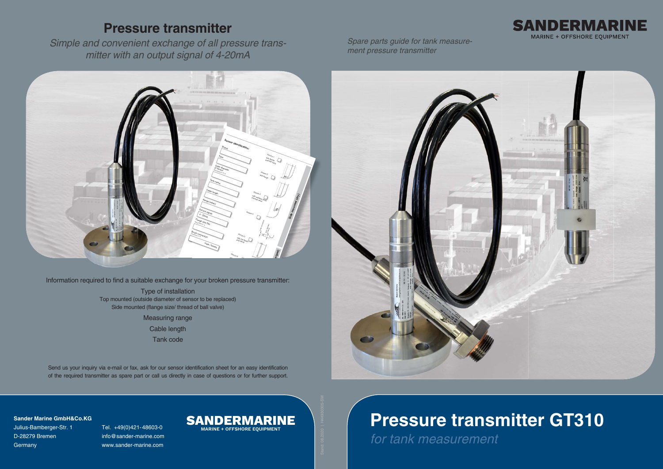*Spare parts guide for tank measurement pressure transmitter*



# **Pressure transmitter GT310**

*for tank measurement*



# **Pressure transmitter**

*Simple and convenient exchange of all pressure transmitter with an output signal of 4-20mA*

> Type of installation Top mounted (outside diameter of sensor to be replaced) Side mounted (flange size/ thread of ball valve)



pressure trai<br>.

Measuring range

Cable length

Tank code

Send us your inquiry via e-mail or fax, ask for our sensor identification sheet for an easy identification of the required transmitter as spare part or call us directly in case of questions or for further support.

**Sander Marine GmbH&Co.KG**

Julius-Bamberger-Str. 1 Tel. +49(0)421-48603-0 D-28279 Bremen info@sander-marine.com Germany www.sander-marine.com

# $\mathbf{SANDERMARINE}$

**MARINE + OFFSHORE EQUIPMENT**